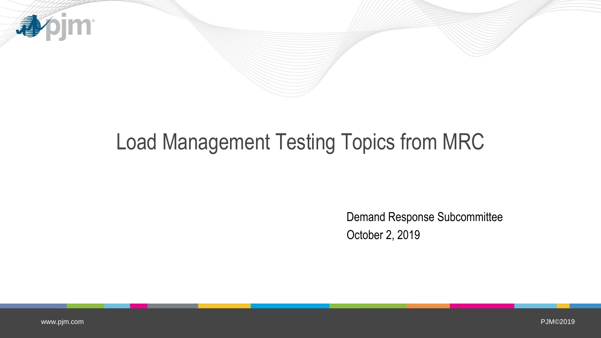

## Load Management Testing Topics from MRC

Demand Response Subcommittee October 2, 2019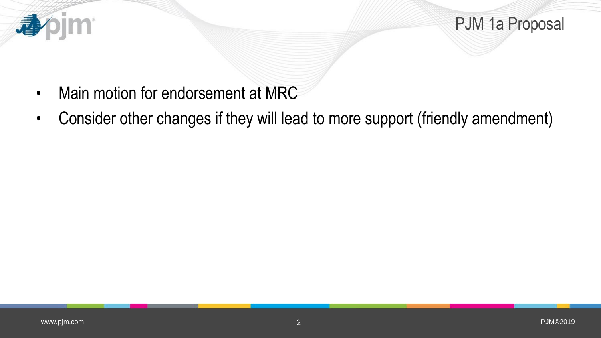

PJM 1a Proposal

- Main motion for endorsement at MRC
- Consider other changes if they will lead to more support (friendly amendment)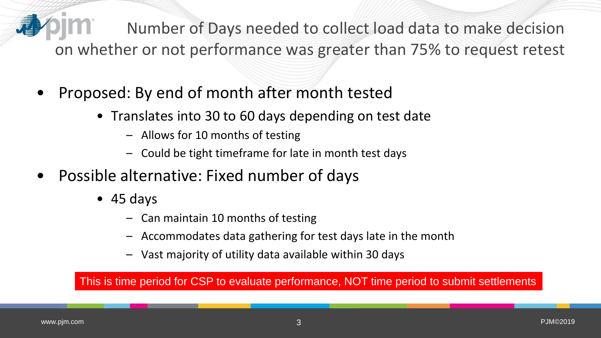Number of Days needed to collect load data to make decision on whether or not performance was greater than 75% to request retest

- Proposed: By end of month after month tested
	- Translates into 30 to 60 days depending on test date
		- Allows for 10 months of testing
		- Could be tight timeframe for late in month test days
- Possible alternative: Fixed number of days
	- 45 days
		- Can maintain 10 months of testing
		- Accommodates data gathering for test days late in the month
		- Vast majority of utility data available within 30 days

This is time period for CSP to evaluate performance, NOT time period to submit settlements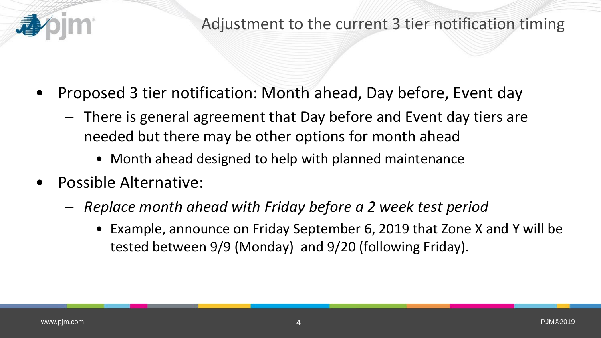

- Proposed 3 tier notification: Month ahead, Day before, Event day
	- There is general agreement that Day before and Event day tiers are needed but there may be other options for month ahead
		- Month ahead designed to help with planned maintenance
- Possible Alternative:
	- *Replace month ahead with Friday before a 2 week test period*
		- Example, announce on Friday September 6, 2019 that Zone X and Y will be tested between 9/9 (Monday) and 9/20 (following Friday).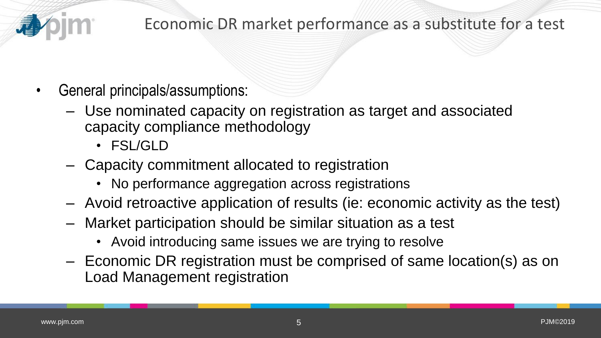

## Economic DR market performance as a substitute for a test

- General principals/assumptions:
	- Use nominated capacity on registration as target and associated capacity compliance methodology
		- FSL/GLD
	- Capacity commitment allocated to registration
		- No performance aggregation across registrations
	- Avoid retroactive application of results (ie: economic activity as the test)
	- Market participation should be similar situation as a test
		- Avoid introducing same issues we are trying to resolve
	- Economic DR registration must be comprised of same location(s) as on Load Management registration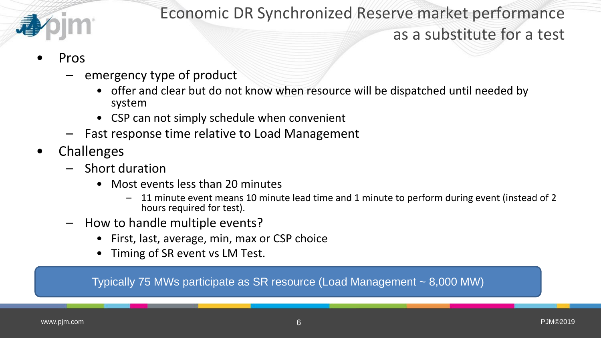

Economic DR Synchronized Reserve market performance

## as a substitute for a test

- Pros
	- emergency type of product
		- offer and clear but do not know when resource will be dispatched until needed by system
		- CSP can not simply schedule when convenient
	- Fast response time relative to Load Management
- **Challenges** 
	- Short duration
		- Most events less than 20 minutes
			- 11 minute event means 10 minute lead time and 1 minute to perform during event (instead of 2 hours required for test).
	- How to handle multiple events?
		- First, last, average, min, max or CSP choice
		- Timing of SR event vs LM Test.

Typically 75 MWs participate as SR resource (Load Management ~ 8,000 MW)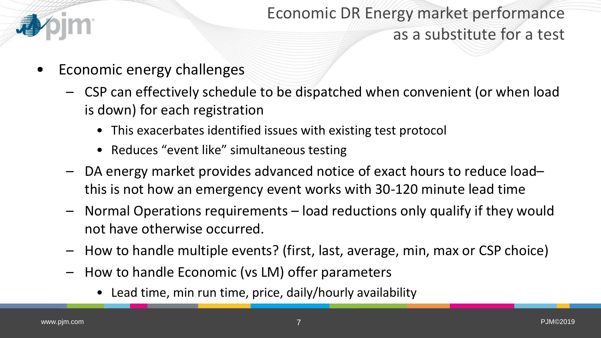

Economic DR Energy market performance as a substitute for a test

- Economic energy challenges
	- CSP can effectively schedule to be dispatched when convenient (or when load is down) for each registration
		- This exacerbates identified issues with existing test protocol
		- Reduces "event like" simultaneous testing
	- DA energy market provides advanced notice of exact hours to reduce load– this is not how an emergency event works with 30-120 minute lead time
	- Normal Operations requirements load reductions only qualify if they would not have otherwise occurred.
	- How to handle multiple events? (first, last, average, min, max or CSP choice)
	- How to handle Economic (vs LM) offer parameters
		- Lead time, min run time, price, daily/hourly availability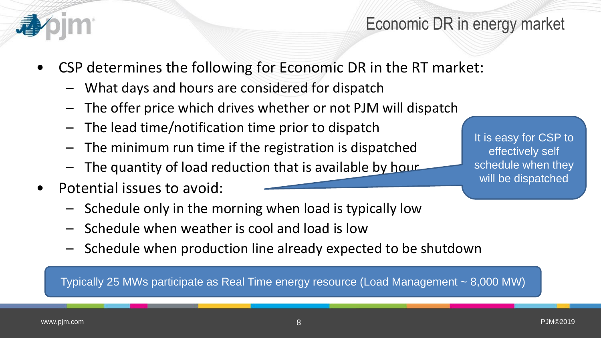

## Economic DR in energy market

- CSP determines the following for Economic DR in the RT market:
	- What days and hours are considered for dispatch
	- The offer price which drives whether or not PJM will dispatch
	- The lead time/notification time prior to dispatch
	- The minimum run time if the registration is dispatched
	- The quantity of load reduction that is available by hour
- Potential issues to avoid:
	- Schedule only in the morning when load is typically low
	- Schedule when weather is cool and load is low
	- Schedule when production line already expected to be shutdown

Typically 25 MWs participate as Real Time energy resource (Load Management ~ 8,000 MW)

It is easy for CSP to effectively self schedule when they will be dispatched